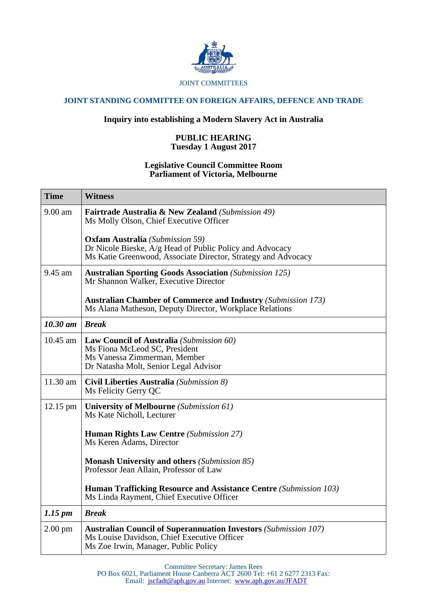

## **JOINT STANDING COMMITTEE ON FOREIGN AFFAIRS, DEFENCE AND TRADE**

## **Inquiry into establishing a Modern Slavery Act in Australia**

## **PUBLIC HEARING Tuesday 1 August 2017**

## **Legislative Council Committee Room Parliament of Victoria, Melbourne**

| <b>Time</b>         | <b>Witness</b>                                                                                                                                                      |
|---------------------|---------------------------------------------------------------------------------------------------------------------------------------------------------------------|
| $9.00$ am           | <b>Fairtrade Australia &amp; New Zealand (Submission 49)</b><br>Ms Molly Olson, Chief Executive Officer                                                             |
|                     | <b>Oxfam Australia</b> (Submission 59)<br>Dr Nicole Bieske, A/g Head of Public Policy and Advocacy<br>Ms Katie Greenwood, Associate Director, Strategy and Advocacy |
| 9.45 am             | <b>Australian Sporting Goods Association (Submission 125)</b><br>Mr Shannon Walker, Executive Director                                                              |
|                     | <b>Australian Chamber of Commerce and Industry (Submission 173)</b><br>Ms Alana Matheson, Deputy Director, Workplace Relations                                      |
| $10.30$ am          | <b>Break</b>                                                                                                                                                        |
| 10.45 am            | <b>Law Council of Australia</b> (Submission 60)<br>Ms Fiona McLeod SC, President<br>Ms Vanessa Zimmerman, Member<br>Dr Natasha Molt, Senior Legal Advisor           |
| 11.30 am            | Civil Liberties Australia (Submission 8)<br>Ms Felicity Gerry QC                                                                                                    |
| 12.15 pm            | <b>University of Melbourne</b> (Submission 61)<br>Ms Kate Nicholl, Lecturer                                                                                         |
|                     | <b>Human Rights Law Centre (Submission 27)</b><br>Ms Keren Adams, Director                                                                                          |
|                     | <b>Monash University and others (Submission 85)</b><br>Professor Jean Allain, Professor of Law                                                                      |
|                     | <b>Human Trafficking Resource and Assistance Centre (Submission 103)</b><br>Ms Linda Rayment, Chief Executive Officer                                               |
| $1.15 \, \text{pm}$ | <b>Break</b>                                                                                                                                                        |
| $2.00 \text{ pm}$   | <b>Australian Council of Superannuation Investors (Submission 107)</b><br>Ms Louise Davidson, Chief Executive Officer<br>Ms Zoe Irwin, Manager, Public Policy       |